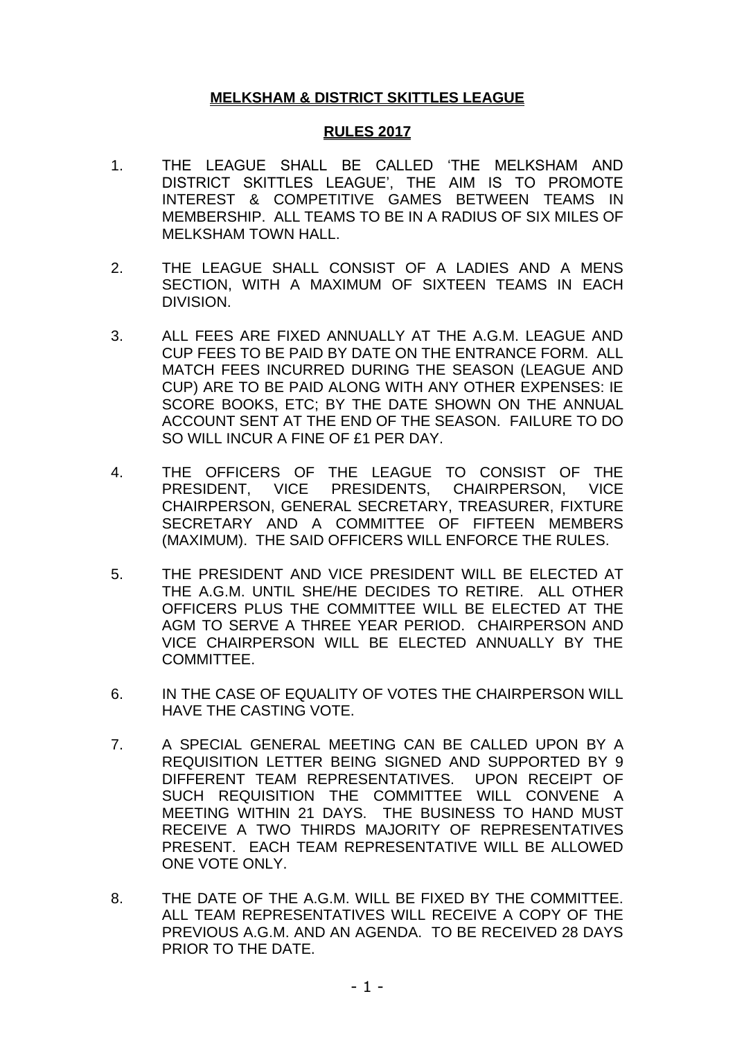### **MELKSHAM & DISTRICT SKITTLES LEAGUE**

#### **RULES 2017**

- 1. THE LEAGUE SHALL BE CALLED 'THE MELKSHAM AND DISTRICT SKITTLES LEAGUE', THE AIM IS TO PROMOTE INTEREST & COMPETITIVE GAMES BETWEEN TEAMS IN MEMBERSHIP. ALL TEAMS TO BE IN A RADIUS OF SIX MILES OF MELKSHAM TOWN HALL.
- 2. THE LEAGUE SHALL CONSIST OF A LADIES AND A MENS SECTION, WITH A MAXIMUM OF SIXTEEN TEAMS IN EACH DIVISION.
- 3. ALL FEES ARE FIXED ANNUALLY AT THE A.G.M. LEAGUE AND CUP FEES TO BE PAID BY DATE ON THE ENTRANCE FORM. ALL MATCH FEES INCURRED DURING THE SEASON (LEAGUE AND CUP) ARE TO BE PAID ALONG WITH ANY OTHER EXPENSES: IE SCORE BOOKS, ETC; BY THE DATE SHOWN ON THE ANNUAL ACCOUNT SENT AT THE END OF THE SEASON. FAILURE TO DO SO WILL INCUR A FINE OF £1 PER DAY.
- 4. THE OFFICERS OF THE LEAGUE TO CONSIST OF THE PRESIDENT, VICE PRESIDENTS, CHAIRPERSON, VICE CHAIRPERSON, GENERAL SECRETARY, TREASURER, FIXTURE SECRETARY AND A COMMITTEE OF FIFTEEN MEMBERS (MAXIMUM). THE SAID OFFICERS WILL ENFORCE THE RULES.
- 5. THE PRESIDENT AND VICE PRESIDENT WILL BE ELECTED AT THE A.G.M. UNTIL SHE/HE DECIDES TO RETIRE. ALL OTHER OFFICERS PLUS THE COMMITTEE WILL BE ELECTED AT THE AGM TO SERVE A THREE YEAR PERIOD. CHAIRPERSON AND VICE CHAIRPERSON WILL BE ELECTED ANNUALLY BY THE COMMITTEE.
- 6. IN THE CASE OF EQUALITY OF VOTES THE CHAIRPERSON WILL HAVE THE CASTING VOTE.
- 7. A SPECIAL GENERAL MEETING CAN BE CALLED UPON BY A REQUISITION LETTER BEING SIGNED AND SUPPORTED BY 9 DIFFERENT TEAM REPRESENTATIVES. UPON RECEIPT OF SUCH REQUISITION THE COMMITTEE WILL CONVENE A MEETING WITHIN 21 DAYS. THE BUSINESS TO HAND MUST RECEIVE A TWO THIRDS MAJORITY OF REPRESENTATIVES PRESENT. EACH TEAM REPRESENTATIVE WILL BE ALLOWED ONE VOTE ONLY.
- 8. THE DATE OF THE A.G.M. WILL BE FIXED BY THE COMMITTEE. ALL TEAM REPRESENTATIVES WILL RECEIVE A COPY OF THE PREVIOUS A.G.M. AND AN AGENDA. TO BE RECEIVED 28 DAYS PRIOR TO THE DATE.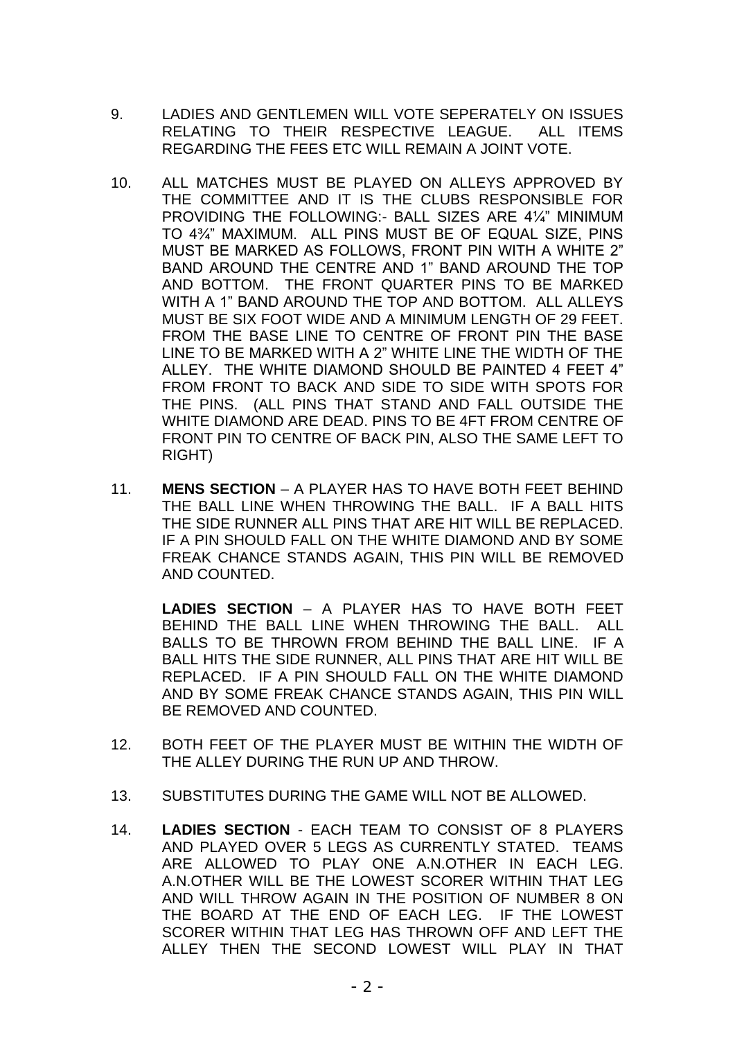- 9. LADIES AND GENTLEMEN WILL VOTE SEPERATELY ON ISSUES RELATING TO THEIR RESPECTIVE LEAGUE. ALL ITEMS REGARDING THE FEES ETC WILL REMAIN A JOINT VOTE.
- 10. ALL MATCHES MUST BE PLAYED ON ALLEYS APPROVED BY THE COMMITTEE AND IT IS THE CLUBS RESPONSIBLE FOR PROVIDING THE FOLLOWING:- BALL SIZES ARE 4¼" MINIMUM TO 4¾" MAXIMUM. ALL PINS MUST BE OF EQUAL SIZE, PINS MUST BE MARKED AS FOLLOWS, FRONT PIN WITH A WHITE 2" BAND AROUND THE CENTRE AND 1" BAND AROUND THE TOP AND BOTTOM. THE FRONT QUARTER PINS TO BE MARKED WITH A 1" BAND AROUND THE TOP AND BOTTOM. ALL ALLEYS MUST BE SIX FOOT WIDE AND A MINIMUM LENGTH OF 29 FEET. FROM THE BASE LINE TO CENTRE OF FRONT PIN THE BASE LINE TO BE MARKED WITH A 2" WHITE LINE THE WIDTH OF THE ALLEY. THE WHITE DIAMOND SHOULD BE PAINTED 4 FEET 4" FROM FRONT TO BACK AND SIDE TO SIDE WITH SPOTS FOR THE PINS. (ALL PINS THAT STAND AND FALL OUTSIDE THE WHITE DIAMOND ARE DEAD. PINS TO BE 4FT FROM CENTRE OF FRONT PIN TO CENTRE OF BACK PIN, ALSO THE SAME LEFT TO RIGHT)
- 11. **MENS SECTION** A PLAYER HAS TO HAVE BOTH FEET BEHIND THE BALL LINE WHEN THROWING THE BALL. IF A BALL HITS THE SIDE RUNNER ALL PINS THAT ARE HIT WILL BE REPLACED. IF A PIN SHOULD FALL ON THE WHITE DIAMOND AND BY SOME FREAK CHANCE STANDS AGAIN, THIS PIN WILL BE REMOVED AND COUNTED.

**LADIES SECTION** – A PLAYER HAS TO HAVE BOTH FEET BEHIND THE BALL LINE WHEN THROWING THE BALL. ALL BALLS TO BE THROWN FROM BEHIND THE BALL LINE. IF A BALL HITS THE SIDE RUNNER, ALL PINS THAT ARE HIT WILL BE REPLACED. IF A PIN SHOULD FALL ON THE WHITE DIAMOND AND BY SOME FREAK CHANCE STANDS AGAIN, THIS PIN WILL BE REMOVED AND COUNTED.

- 12. BOTH FEET OF THE PLAYER MUST BE WITHIN THE WIDTH OF THE ALLEY DURING THE RUN UP AND THROW.
- 13. SUBSTITUTES DURING THE GAME WILL NOT BE ALLOWED.
- 14. **LADIES SECTION** EACH TEAM TO CONSIST OF 8 PLAYERS AND PLAYED OVER 5 LEGS AS CURRENTLY STATED. TEAMS ARE ALLOWED TO PLAY ONE A.N.OTHER IN EACH LEG. A.N.OTHER WILL BE THE LOWEST SCORER WITHIN THAT LEG AND WILL THROW AGAIN IN THE POSITION OF NUMBER 8 ON THE BOARD AT THE END OF EACH LEG. IF THE LOWEST SCORER WITHIN THAT LEG HAS THROWN OFF AND LEFT THE ALLEY THEN THE SECOND LOWEST WILL PLAY IN THAT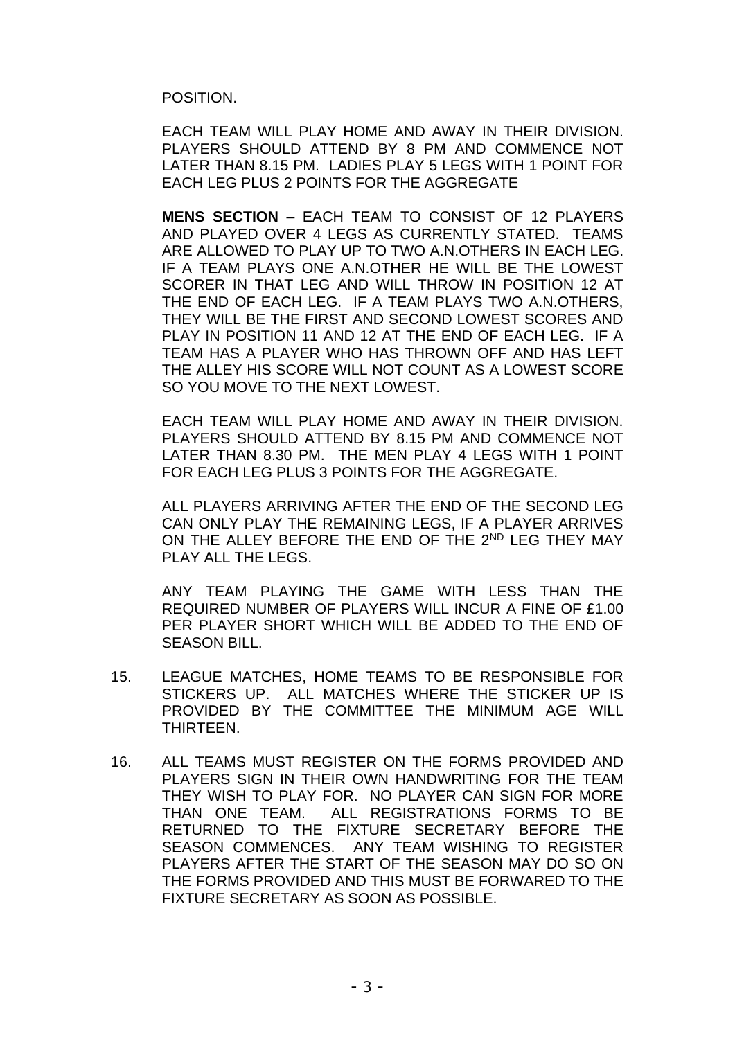POSITION.

EACH TEAM WILL PLAY HOME AND AWAY IN THEIR DIVISION. PLAYERS SHOULD ATTEND BY 8 PM AND COMMENCE NOT LATER THAN 8.15 PM. LADIES PLAY 5 LEGS WITH 1 POINT FOR EACH LEG PLUS 2 POINTS FOR THE AGGREGATE

**MENS SECTION** – EACH TEAM TO CONSIST OF 12 PLAYERS AND PLAYED OVER 4 LEGS AS CURRENTLY STATED. TEAMS ARE ALLOWED TO PLAY UP TO TWO A.N.OTHERS IN EACH LEG. IF A TEAM PLAYS ONE A.N.OTHER HE WILL BE THE LOWEST SCORER IN THAT LEG AND WILL THROW IN POSITION 12 AT THE END OF EACH LEG. IF A TEAM PLAYS TWO A.N.OTHERS, THEY WILL BE THE FIRST AND SECOND LOWEST SCORES AND PLAY IN POSITION 11 AND 12 AT THE END OF EACH LEG. IF A TEAM HAS A PLAYER WHO HAS THROWN OFF AND HAS LEFT THE ALLEY HIS SCORE WILL NOT COUNT AS A LOWEST SCORE SO YOU MOVE TO THE NEXT LOWEST.

EACH TEAM WILL PLAY HOME AND AWAY IN THEIR DIVISION. PLAYERS SHOULD ATTEND BY 8.15 PM AND COMMENCE NOT LATER THAN 8.30 PM. THE MEN PLAY 4 LEGS WITH 1 POINT FOR EACH LEG PLUS 3 POINTS FOR THE AGGREGATE.

ALL PLAYERS ARRIVING AFTER THE END OF THE SECOND LEG CAN ONLY PLAY THE REMAINING LEGS, IF A PLAYER ARRIVES ON THE ALLEY BEFORE THE END OF THE 2<sup>ND</sup> LEG THEY MAY PLAY ALL THE LEGS.

ANY TEAM PLAYING THE GAME WITH LESS THAN THE REQUIRED NUMBER OF PLAYERS WILL INCUR A FINE OF £1.00 PER PLAYER SHORT WHICH WILL BE ADDED TO THE END OF SEASON BILL.

- 15. LEAGUE MATCHES, HOME TEAMS TO BE RESPONSIBLE FOR STICKERS UP. ALL MATCHES WHERE THE STICKER UP IS PROVIDED BY THE COMMITTEE THE MINIMUM AGE WILL **THIRTFFN**
- 16. ALL TEAMS MUST REGISTER ON THE FORMS PROVIDED AND PLAYERS SIGN IN THEIR OWN HANDWRITING FOR THE TEAM THEY WISH TO PLAY FOR. NO PLAYER CAN SIGN FOR MORE THAN ONE TEAM. ALL REGISTRATIONS FORMS TO BE RETURNED TO THE FIXTURE SECRETARY BEFORE THE SEASON COMMENCES. ANY TEAM WISHING TO REGISTER PLAYERS AFTER THE START OF THE SEASON MAY DO SO ON THE FORMS PROVIDED AND THIS MUST BE FORWARED TO THE FIXTURE SECRETARY AS SOON AS POSSIBLE.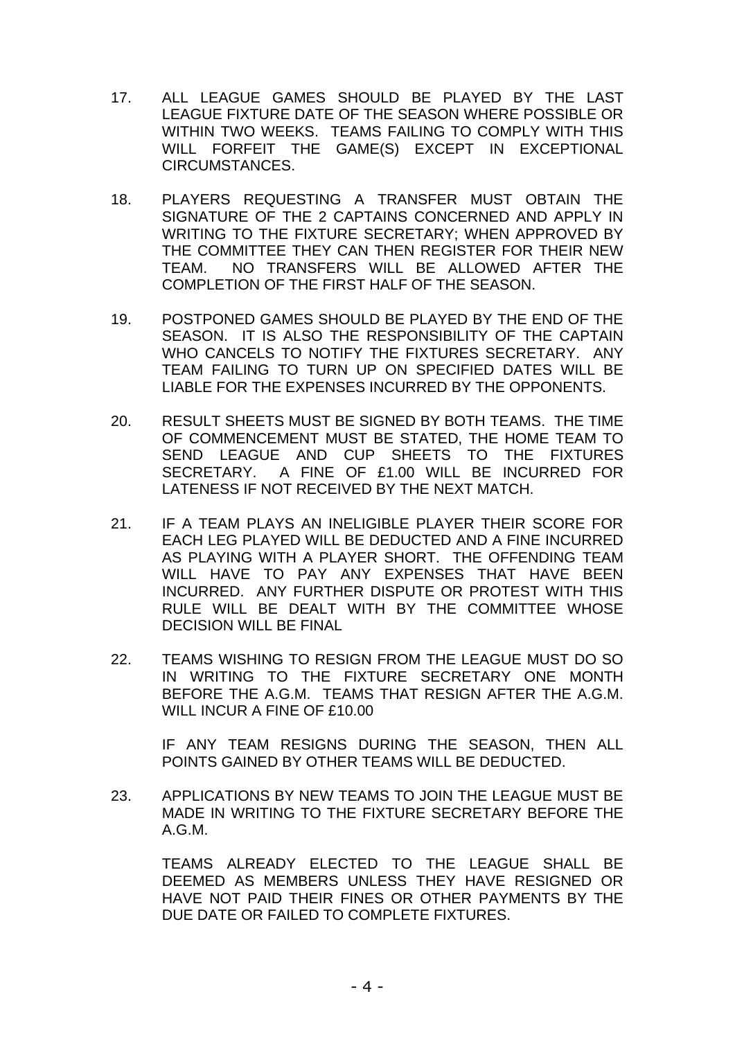- 17. ALL LEAGUE GAMES SHOULD BE PLAYED BY THE LAST LEAGUE FIXTURE DATE OF THE SEASON WHERE POSSIBLE OR WITHIN TWO WEEKS. TEAMS FAILING TO COMPLY WITH THIS WILL FORFEIT THE GAME(S) EXCEPT IN EXCEPTIONAL CIRCUMSTANCES.
- 18. PLAYERS REQUESTING A TRANSFER MUST OBTAIN THE SIGNATURE OF THE 2 CAPTAINS CONCERNED AND APPLY IN WRITING TO THE FIXTURE SECRETARY; WHEN APPROVED BY THE COMMITTEE THEY CAN THEN REGISTER FOR THEIR NEW TEAM. NO TRANSFERS WILL BE ALLOWED AFTER THE COMPLETION OF THE FIRST HALF OF THE SEASON.
- 19. POSTPONED GAMES SHOULD BE PLAYED BY THE END OF THE SEASON. IT IS ALSO THE RESPONSIBILITY OF THE CAPTAIN WHO CANCELS TO NOTIFY THE FIXTURES SECRETARY. ANY TEAM FAILING TO TURN UP ON SPECIFIED DATES WILL BE LIABLE FOR THE EXPENSES INCURRED BY THE OPPONENTS.
- 20. RESULT SHEETS MUST BE SIGNED BY BOTH TEAMS. THE TIME OF COMMENCEMENT MUST BE STATED, THE HOME TEAM TO SEND LEAGUE AND CUP SHEETS TO THE FIXTURES SECRETARY. A FINE OF £1.00 WILL BE INCURRED FOR LATENESS IF NOT RECEIVED BY THE NEXT MATCH.
- 21. IF A TEAM PLAYS AN INELIGIBLE PLAYER THEIR SCORE FOR EACH LEG PLAYED WILL BE DEDUCTED AND A FINE INCURRED AS PLAYING WITH A PLAYER SHORT. THE OFFENDING TEAM WILL HAVE TO PAY ANY EXPENSES THAT HAVE BEEN INCURRED. ANY FURTHER DISPUTE OR PROTEST WITH THIS RULE WILL BE DEALT WITH BY THE COMMITTEE WHOSE DECISION WILL BE FINAL
- 22. TEAMS WISHING TO RESIGN FROM THE LEAGUE MUST DO SO IN WRITING TO THE FIXTURE SECRETARY ONE MONTH BEFORE THE A.G.M. TEAMS THAT RESIGN AFTER THE A.G.M. WILL INCUR A FINE OF £10.00

IF ANY TEAM RESIGNS DURING THE SEASON, THEN ALL POINTS GAINED BY OTHER TEAMS WILL BE DEDUCTED.

23. APPLICATIONS BY NEW TEAMS TO JOIN THE LEAGUE MUST BE MADE IN WRITING TO THE FIXTURE SECRETARY BEFORE THE A.G.M.

TEAMS ALREADY ELECTED TO THE LEAGUE SHALL BE DEEMED AS MEMBERS UNLESS THEY HAVE RESIGNED OR HAVE NOT PAID THEIR FINES OR OTHER PAYMENTS BY THE DUE DATE OR FAILED TO COMPLETE FIXTURES.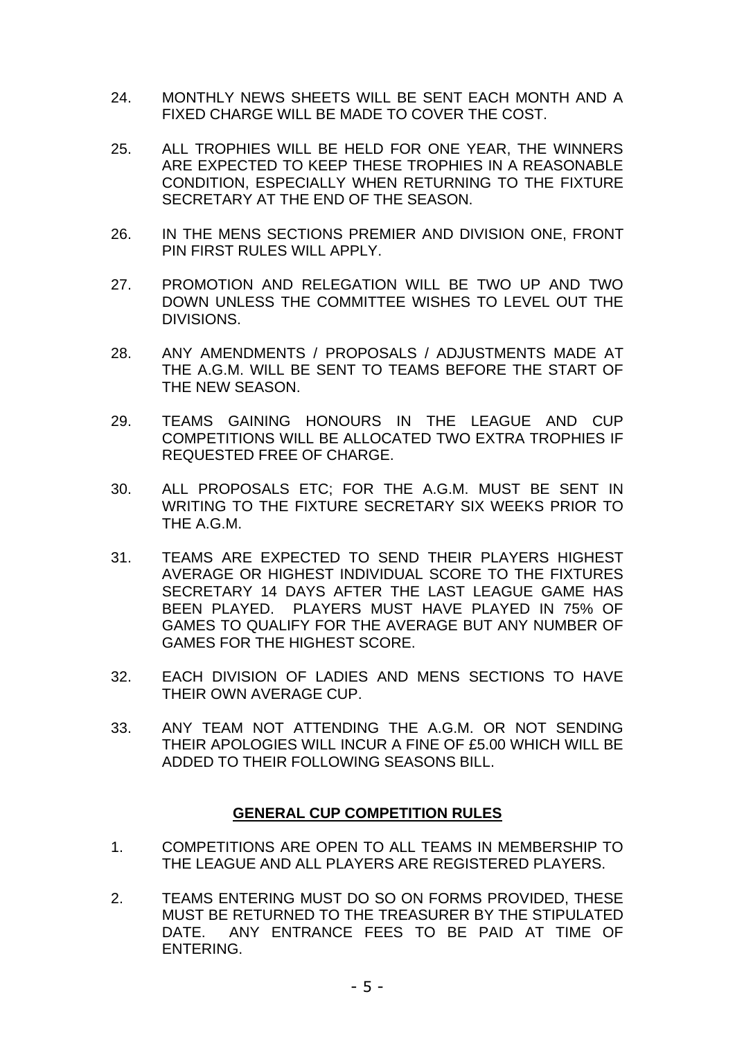- 24. MONTHLY NEWS SHEETS WILL BE SENT EACH MONTH AND A FIXED CHARGE WILL BE MADE TO COVER THE COST.
- 25. ALL TROPHIES WILL BE HELD FOR ONE YEAR, THE WINNERS ARE EXPECTED TO KEEP THESE TROPHIES IN A REASONABLE CONDITION, ESPECIALLY WHEN RETURNING TO THE FIXTURE SECRETARY AT THE END OF THE SEASON.
- 26. IN THE MENS SECTIONS PREMIER AND DIVISION ONE, FRONT PIN FIRST RULES WILL APPLY.
- 27. PROMOTION AND RELEGATION WILL BE TWO UP AND TWO DOWN UNLESS THE COMMITTEE WISHES TO LEVEL OUT THE DIVISIONS.
- 28. ANY AMENDMENTS / PROPOSALS / ADJUSTMENTS MADE AT THE A.G.M. WILL BE SENT TO TEAMS BEFORE THE START OF THE NEW SEASON.
- 29. TEAMS GAINING HONOURS IN THE LEAGUE AND CUP COMPETITIONS WILL BE ALLOCATED TWO EXTRA TROPHIES IF REQUESTED FREE OF CHARGE.
- 30. ALL PROPOSALS ETC; FOR THE A.G.M. MUST BE SENT IN WRITING TO THE FIXTURE SECRETARY SIX WEEKS PRIOR TO THE A.G.M.
- 31. TEAMS ARE EXPECTED TO SEND THEIR PLAYERS HIGHEST AVERAGE OR HIGHEST INDIVIDUAL SCORE TO THE FIXTURES SECRETARY 14 DAYS AFTER THE LAST LEAGUE GAME HAS BEEN PLAYED. PLAYERS MUST HAVE PLAYED IN 75% OF GAMES TO QUALIFY FOR THE AVERAGE BUT ANY NUMBER OF GAMES FOR THE HIGHEST SCORE.
- 32. EACH DIVISION OF LADIES AND MENS SECTIONS TO HAVE THEIR OWN AVERAGE CUP.
- 33. ANY TEAM NOT ATTENDING THE A.G.M. OR NOT SENDING THEIR APOLOGIES WILL INCUR A FINE OF £5.00 WHICH WILL BE ADDED TO THEIR FOLLOWING SEASONS BILL.

## **GENERAL CUP COMPETITION RULES**

- 1. COMPETITIONS ARE OPEN TO ALL TEAMS IN MEMBERSHIP TO THE LEAGUE AND ALL PLAYERS ARE REGISTERED PLAYERS.
- 2. TEAMS ENTERING MUST DO SO ON FORMS PROVIDED, THESE MUST BE RETURNED TO THE TREASURER BY THE STIPULATED DATE. ANY ENTRANCE FEES TO BE PAID AT TIME OF ENTERING.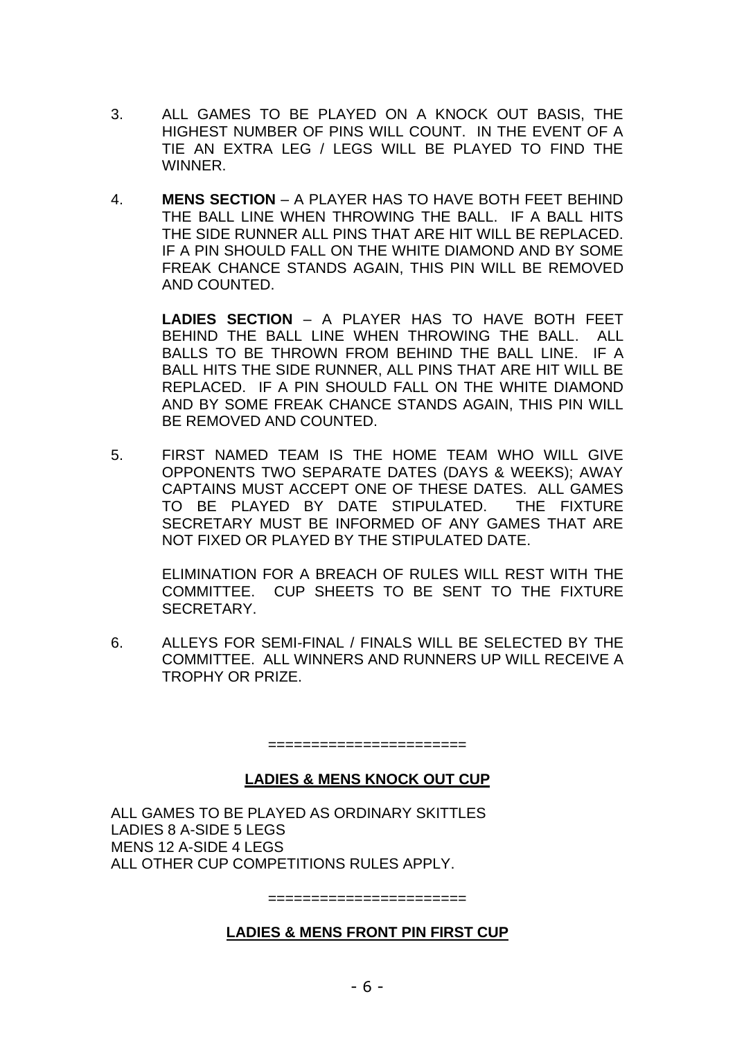- 3. ALL GAMES TO BE PLAYED ON A KNOCK OUT BASIS, THE HIGHEST NUMBER OF PINS WILL COUNT. IN THE EVENT OF A TIE AN EXTRA LEG / LEGS WILL BE PLAYED TO FIND THE WINNER.
- 4. **MENS SECTION** A PLAYER HAS TO HAVE BOTH FEET BEHIND THE BALL LINE WHEN THROWING THE BALL. IF A BALL HITS THE SIDE RUNNER ALL PINS THAT ARE HIT WILL BE REPLACED. IF A PIN SHOULD FALL ON THE WHITE DIAMOND AND BY SOME FREAK CHANCE STANDS AGAIN, THIS PIN WILL BE REMOVED AND COUNTED.

**LADIES SECTION** – A PLAYER HAS TO HAVE BOTH FEET BEHIND THE BALL LINE WHEN THROWING THE BALL. ALL BALLS TO BE THROWN FROM BEHIND THE BALL LINE. IF A BALL HITS THE SIDE RUNNER, ALL PINS THAT ARE HIT WILL BE REPLACED. IF A PIN SHOULD FALL ON THE WHITE DIAMOND AND BY SOME FREAK CHANCE STANDS AGAIN, THIS PIN WILL BE REMOVED AND COUNTED.

5. FIRST NAMED TEAM IS THE HOME TEAM WHO WILL GIVE OPPONENTS TWO SEPARATE DATES (DAYS & WEEKS); AWAY CAPTAINS MUST ACCEPT ONE OF THESE DATES. ALL GAMES TO BE PLAYED BY DATE STIPULATED. THE FIXTURE SECRETARY MUST BE INFORMED OF ANY GAMES THAT ARE NOT FIXED OR PLAYED BY THE STIPULATED DATE.

ELIMINATION FOR A BREACH OF RULES WILL REST WITH THE COMMITTEE. CUP SHEETS TO BE SENT TO THE FIXTURE SECRETARY.

6. ALLEYS FOR SEMI-FINAL / FINALS WILL BE SELECTED BY THE COMMITTEE. ALL WINNERS AND RUNNERS UP WILL RECEIVE A TROPHY OR PRIZE.

=======================

## **LADIES & MENS KNOCK OUT CUP**

ALL GAMES TO BE PLAYED AS ORDINARY SKITTLES LADIES 8 A-SIDE 5 LEGS MENS 12 A-SIDE 4 LEGS ALL OTHER CUP COMPETITIONS RULES APPLY.

#### **LADIES & MENS FRONT PIN FIRST CUP**

=======================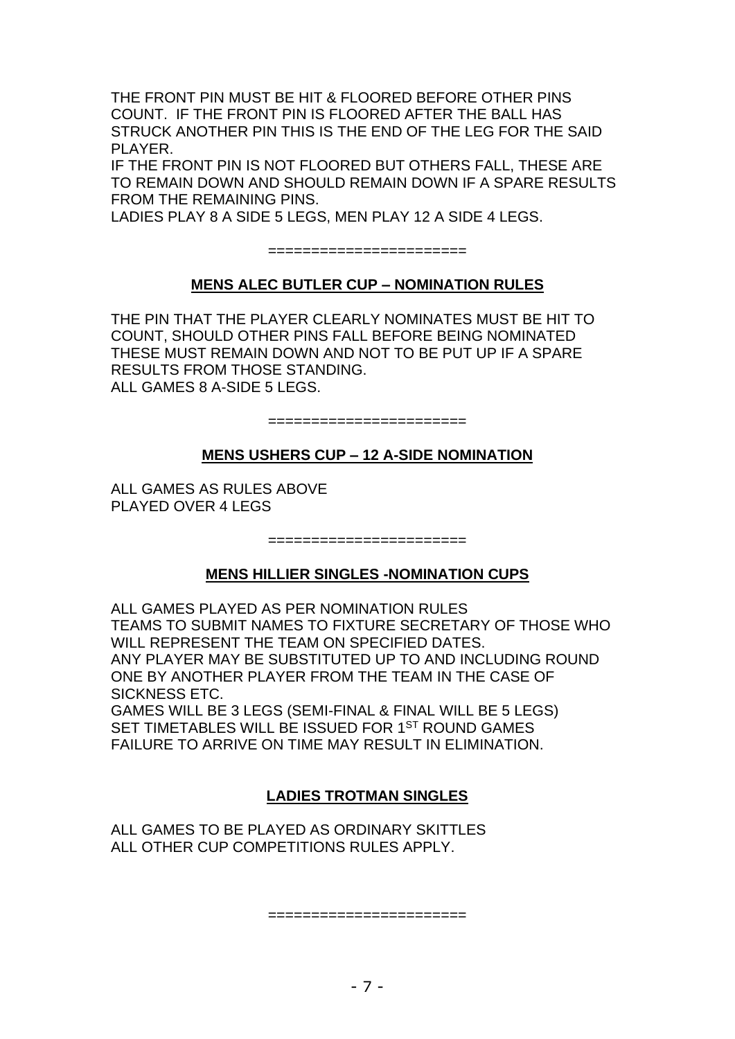THE FRONT PIN MUST BE HIT & FLOORED BEFORE OTHER PINS COUNT. IF THE FRONT PIN IS FLOORED AFTER THE BALL HAS STRUCK ANOTHER PIN THIS IS THE END OF THE LEG FOR THE SAID PI AYFR

IF THE FRONT PIN IS NOT FLOORED BUT OTHERS FALL, THESE ARE TO REMAIN DOWN AND SHOULD REMAIN DOWN IF A SPARE RESULTS FROM THE REMAINING PINS.

LADIES PLAY 8 A SIDE 5 LEGS, MEN PLAY 12 A SIDE 4 LEGS.

=======================

# **MENS ALEC BUTLER CUP – NOMINATION RULES**

THE PIN THAT THE PLAYER CLEARLY NOMINATES MUST BE HIT TO COUNT, SHOULD OTHER PINS FALL BEFORE BEING NOMINATED THESE MUST REMAIN DOWN AND NOT TO BE PUT UP IF A SPARE RESULTS FROM THOSE STANDING. ALL GAMES 8 A-SIDE 5 LEGS.

=======================

#### **MENS USHERS CUP – 12 A-SIDE NOMINATION**

ALL GAMES AS RULES ABOVE PLAYED OVER 4 LEGS

=======================

## **MENS HILLIER SINGLES -NOMINATION CUPS**

ALL GAMES PLAYED AS PER NOMINATION RULES TEAMS TO SUBMIT NAMES TO FIXTURE SECRETARY OF THOSE WHO WILL REPRESENT THE TEAM ON SPECIFIED DATES. ANY PLAYER MAY BE SUBSTITUTED UP TO AND INCLUDING ROUND ONE BY ANOTHER PLAYER FROM THE TEAM IN THE CASE OF SICKNESS ETC.

GAMES WILL BE 3 LEGS (SEMI-FINAL & FINAL WILL BE 5 LEGS) SET TIMETABLES WILL BE ISSUED FOR 1<sup>ST</sup> ROUND GAMES FAILURE TO ARRIVE ON TIME MAY RESULT IN ELIMINATION.

## **LADIES TROTMAN SINGLES**

ALL GAMES TO BE PLAYED AS ORDINARY SKITTLES ALL OTHER CUP COMPETITIONS RULES APPLY.

=====================